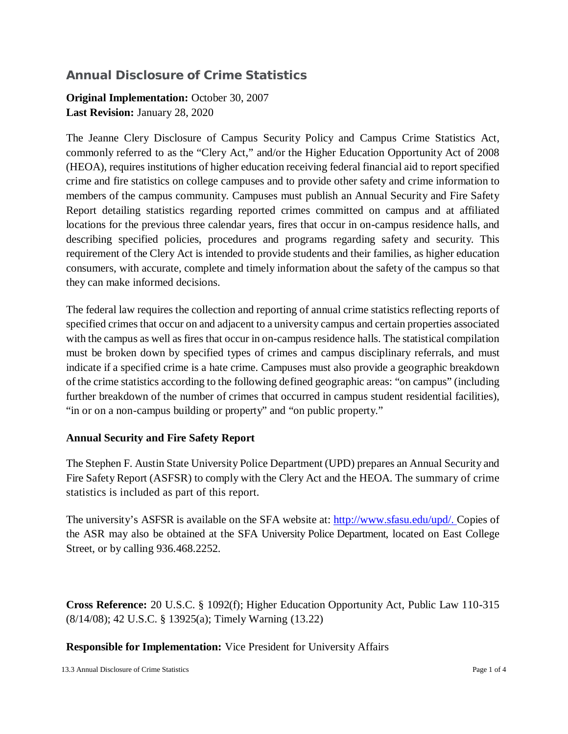## **Annual Disclosure of Crime Statistics**

## **Original Implementation:** October 30, 2007 **Last Revision:** January 28, 2020

The Jeanne Clery Disclosure of Campus Security Policy and Campus Crime Statistics Act, commonly referred to as the "Clery Act," and/or the Higher Education Opportunity Act of 2008 (HEOA), requires institutions of higher education receiving federal financial aid to report specified crime and fire statistics on college campuses and to provide other safety and crime information to members of the campus community. Campuses must publish an Annual Security and Fire Safety Report detailing statistics regarding reported crimes committed on campus and at affiliated locations for the previous three calendar years, fires that occur in on-campus residence halls, and describing specified policies, procedures and programs regarding safety and security. This requirement of the Clery Act is intended to provide students and their families, as higher education consumers, with accurate, complete and timely information about the safety of the campus so that they can make informed decisions.

The federal law requires the collection and reporting of annual crime statistics reflecting reports of specified crimes that occur on and adjacent to a university campus and certain properties associated with the campus as well as fires that occur in on-campus residence halls. The statistical compilation must be broken down by specified types of crimes and campus disciplinary referrals, and must indicate if a specified crime is a hate crime. Campuses must also provide a geographic breakdown of the crime statistics according to the following defined geographic areas: "on campus" (including further breakdown of the number of crimes that occurred in campus student residential facilities), "in or on a non-campus building or property" and "on public property."

## **Annual Security and Fire Safety Report**

The Stephen F. Austin State University Police Department (UPD) prepares an Annual Security and Fire Safety Report (ASFSR) to comply with the Clery Act and the HEOA. The summary of crime statistics is included as part of this report.

The university's ASFSR is available on the SFA website at: [http://www.sfasu.edu/upd/.](http://www.sfasu.edu/upd/) Copies of the ASR may also be obtained at the SFA University Police Department, located on East College Street, or by calling 936.468.2252.

**Cross Reference:** 20 U.S.C. § 1092(f); Higher Education Opportunity Act, Public Law 110-315 (8/14/08); 42 U.S.C. § 13925(a); Timely Warning (13.22)

**Responsible for Implementation:** Vice President for University Affairs